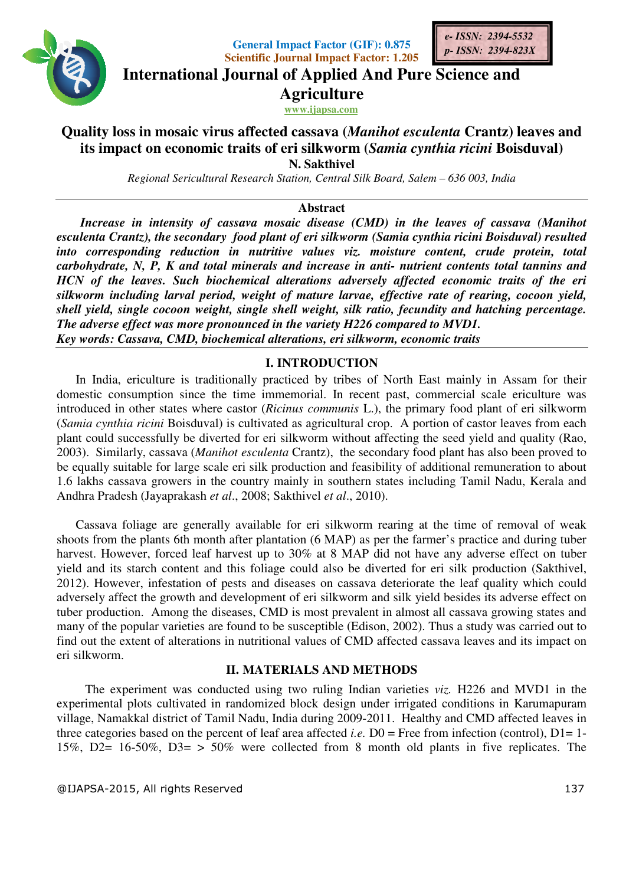



**International Journal of Applied And Pure Science and International Journal Science Agriculture**

*e- ISSN: 2394 ISSN: 2394-5532 p- ISSN: 2394 2394-823X*

**www.ijapsa.com** 

# Quality loss in mosaic virus affected cassava (Manihot esculenta Crantz) leaves and **its impact on economic traits of eri silkworm (** *Samia cynthia ricini ricini* **Boisduval) N. Sakthivel**

Regional Sericultural Research Station, Central Silk Board, Salem – 636 003, India

### **Abstract**

Increase in intensity of cassava mosaic disease (CMD) in the leaves of cassava (Manihot *esculenta Crantz), the secondary food plant of eri silkworm ( silkworm (Samia cynthia ricini Boisduval) Boisduval) resulted*  into corresponding reduction in nutritive values viz. moisture content, crude protein, total into corresponding reduction in nutritive values viz. moisture content, crude protein, total<br>carbohydrate, N, P, K and total minerals and increase in anti- nutrient contents total tannins and HCN of the leaves. Such biochemical alterations adversely affected economic traits of the eri silkworm including larval period, weight of mature larvae, effective rate of rearing, cocoon yield,<br>shell yield, single cocoon weight, single shell weight, silk ratio, fecundity and hatching percentage. *shell yield, single cocoon weight, single shell weight, silk ratio, fecundity and hatching percentage. The adverse effect was more pronounced in the variety H226 compared to MVD1.* shell yield, single cocoon weight, single shell weight, silk ratio, fecundity and **k**<br>The adverse effect was more pronounced in the variety H226 compared to MVD1.<br>Key words: Cassava, CMD, biochemical alterations, eri silkw

## **I. INTRODUCTION**

In India, ericulture is traditionally practiced by tribes of North East mainly in Assam for their In India, ericulture is traditionally practiced by tribes of North East mainly in Assam for their domestic consumption since the time immemorial. In recent past, commercial scale ericulture was domestic consumption since the time immemorial. In recent past, commercial scale ericulture was introduced in other states where castor (*Ricinus communis* L.), the primary food plant of eri silkworm (Samia cynthia ricini Boisduval) is cultivated as agricultural crop. A portion of castor leaves from each plant could successfully be diverted for eri silkworm without affecting the seed yie 2003). Similarly, cassava (*Manihot esculenta* Crantz), the secondary food plant has also been proved to be equally suitable for large scale eri silk production and feasibility of additional remuneration to about 1.6 lakhs cassava growers in the country mainly in southern states including Tamil Nadu Andhra Pradesh (Jayaprakash *et al*., for large scale eri silk production and feasibility of additional growers in the country mainly in southern states including Ta<br>yaprakash *et al.*, 2008; Sakthivel *et al.*, 2010). %, the primary food plant of eri silkworm<br>op. A portion of castor leaves from each<br>affecting the seed yield and quality (Rao, secondary food plant has also been proved to<br>easibility of additional remuneration to about<br>ern states including Tamil Nadu, Kerala and

Cassava foliage are generally available for eri silkworm rearing at the time of removal of weak shoots from the plants 6th month after plantation (6 MAP) as per the farmer's practice and during tuber Cassava foliage are generally available for eri silkworm rearing at the time of removal of weak<br>shoots from the plants 6th month after plantation (6 MAP) as per the farmer's practice and during tuber<br>harvest. However, forc yield and its starch content and this foliage could also be diverted for eri silk production (Sakthivel, yield and its starch content and this foliage could also be diverted for eri silk production (Sakthivel, 2012). However, infestation of pests and diseases on cassava deteriorate the leaf quality which could adversely affect the growth and development of eri silkworm and silk yield besides its adverse effect on adversely affect the growth and development of eri silkworm and silk yield besides its adverse effect on<br>tuber production. Among the diseases, CMD is most prevalent in almost all cassava growing states and many of the popular varieties are found to be susceptible (Edison, 2002). Thus a study was carried out to find out the extent of alterations in nutritional values of CMD affected cassava leaves and its impact on eri silkworm. Its means of CMD affected cassava leaves and its impact on kworm.<br> **II. MATERIALS AND METHODS**<br>
The experiment was conducted using two ruling Indian varieties *viz*. H226 and MVD1 in the

## **II. MATERIALS AND METHODS**

experimental plots cultivated in randomized block design under irrigated conditions in Karumapuram experimental plots cultivated in randomized block design under irrigated conditions in Karumapuram<br>village, Namakkal district of Tamil Nadu, India during 2009-2011. Healthy and CMD affected leaves in three categories based on the percent of leaf area affected *i.e.*  $D0 =$  Free from infection (control),  $D1 = 1$ -15%, D2= 16-50%, D3= > 50% were collected from 8 month old plants in five replicates. The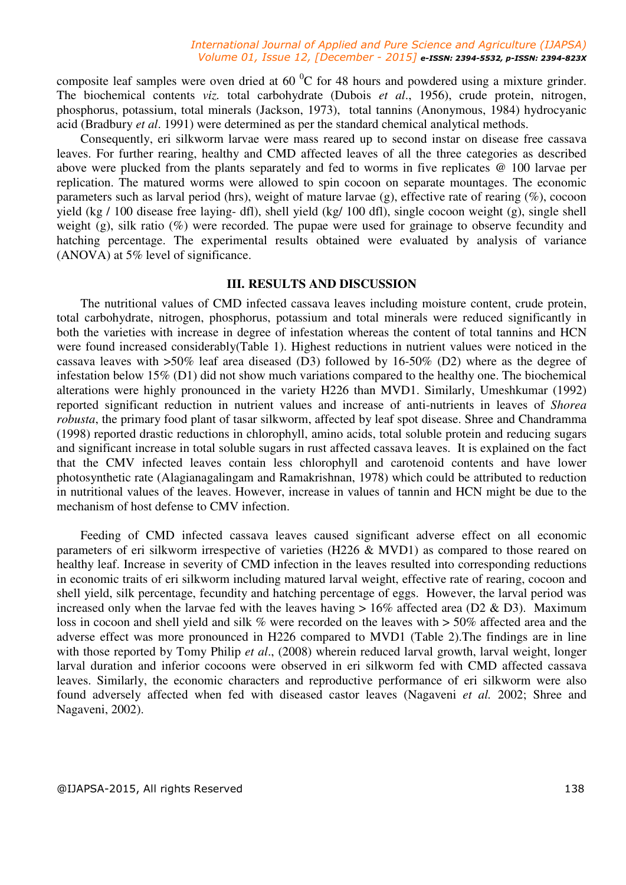#### *International Journal of Applied and Pure Science and Agriculture (IJAPSA) Volume 01, Issue 12, [December - 2015] e-ISSN: 2394-5532, p-ISSN: 2394-823X*

composite leaf samples were oven dried at 60 $\mathrm{^{0}C}$  for 48 hours and powdered using a mixture grinder. The biochemical contents *viz.* total carbohydrate (Dubois *et al*., 1956), crude protein, nitrogen, phosphorus, potassium, total minerals (Jackson, 1973), total tannins (Anonymous, 1984) hydrocyanic acid (Bradbury *et al*. 1991) were determined as per the standard chemical analytical methods.

Consequently, eri silkworm larvae were mass reared up to second instar on disease free cassava leaves. For further rearing, healthy and CMD affected leaves of all the three categories as described above were plucked from the plants separately and fed to worms in five replicates @ 100 larvae per replication. The matured worms were allowed to spin cocoon on separate mountages. The economic parameters such as larval period (hrs), weight of mature larvae (g), effective rate of rearing (%), cocoon yield (kg / 100 disease free laying- dfl), shell yield (kg/ 100 dfl), single cocoon weight (g), single shell weight (g), silk ratio (%) were recorded. The pupae were used for grainage to observe fecundity and hatching percentage. The experimental results obtained were evaluated by analysis of variance (ANOVA) at 5% level of significance.

#### **III. RESULTS AND DISCUSSION**

The nutritional values of CMD infected cassava leaves including moisture content, crude protein, total carbohydrate, nitrogen, phosphorus, potassium and total minerals were reduced significantly in both the varieties with increase in degree of infestation whereas the content of total tannins and HCN were found increased considerably(Table 1). Highest reductions in nutrient values were noticed in the cassava leaves with >50% leaf area diseased (D3) followed by 16-50% (D2) where as the degree of infestation below 15% (D1) did not show much variations compared to the healthy one. The biochemical alterations were highly pronounced in the variety H226 than MVD1. Similarly, Umeshkumar (1992) reported significant reduction in nutrient values and increase of anti-nutrients in leaves of *Shorea robusta*, the primary food plant of tasar silkworm, affected by leaf spot disease. Shree and Chandramma (1998) reported drastic reductions in chlorophyll, amino acids, total soluble protein and reducing sugars and significant increase in total soluble sugars in rust affected cassava leaves. It is explained on the fact that the CMV infected leaves contain less chlorophyll and carotenoid contents and have lower photosynthetic rate (Alagianagalingam and Ramakrishnan, 1978) which could be attributed to reduction in nutritional values of the leaves. However, increase in values of tannin and HCN might be due to the mechanism of host defense to CMV infection.

Feeding of CMD infected cassava leaves caused significant adverse effect on all economic parameters of eri silkworm irrespective of varieties (H226 & MVD1) as compared to those reared on healthy leaf. Increase in severity of CMD infection in the leaves resulted into corresponding reductions in economic traits of eri silkworm including matured larval weight, effective rate of rearing, cocoon and shell yield, silk percentage, fecundity and hatching percentage of eggs. However, the larval period was increased only when the larvae fed with the leaves having  $> 16\%$  affected area (D2 & D3). Maximum loss in cocoon and shell yield and silk % were recorded on the leaves with  $> 50\%$  affected area and the adverse effect was more pronounced in H226 compared to MVD1 (Table 2).The findings are in line with those reported by Tomy Philip *et al.*, (2008) wherein reduced larval growth, larval weight, longer larval duration and inferior cocoons were observed in eri silkworm fed with CMD affected cassava leaves. Similarly, the economic characters and reproductive performance of eri silkworm were also found adversely affected when fed with diseased castor leaves (Nagaveni *et al.* 2002; Shree and Nagaveni, 2002).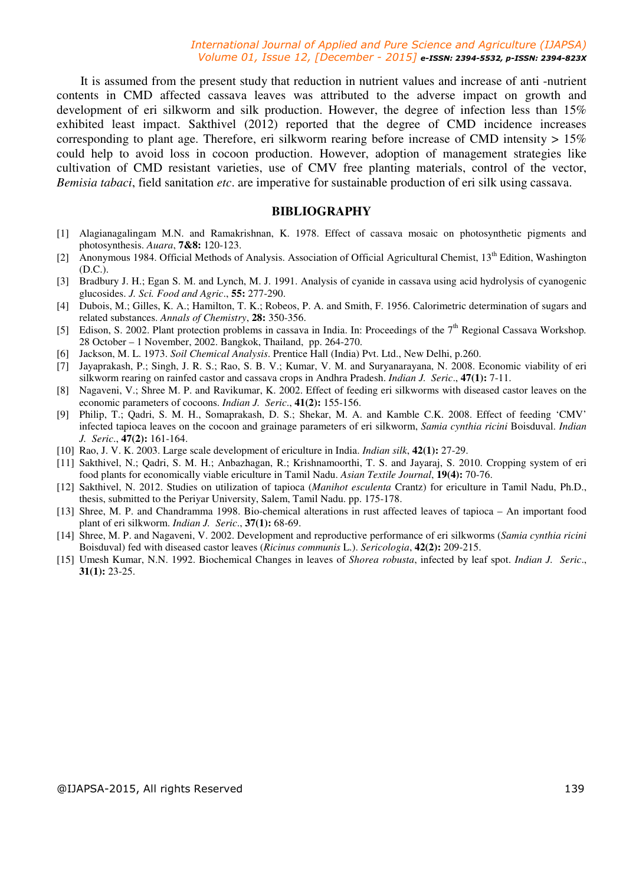#### *International Journal of Applied and Pure Science and Agriculture (IJAPSA) Volume 01, Issue 12, [December - 2015] e-ISSN: 2394-5532, p-ISSN: 2394-823X*

It is assumed from the present study that reduction in nutrient values and increase of anti -nutrient contents in CMD affected cassava leaves was attributed to the adverse impact on growth and development of eri silkworm and silk production. However, the degree of infection less than 15% exhibited least impact. Sakthivel (2012) reported that the degree of CMD incidence increases corresponding to plant age. Therefore, eri silkworm rearing before increase of CMD intensity  $> 15\%$ could help to avoid loss in cocoon production. However, adoption of management strategies like cultivation of CMD resistant varieties, use of CMV free planting materials, control of the vector, *Bemisia tabaci*, field sanitation *etc*. are imperative for sustainable production of eri silk using cassava.

#### **BIBLIOGRAPHY**

- [1] Alagianagalingam M.N. and Ramakrishnan, K. 1978. Effect of cassava mosaic on photosynthetic pigments and photosynthesis. *Auara*, **7&8:** 120-123.
- [2] Anonymous 1984. Official Methods of Analysis. Association of Official Agricultural Chemist,  $13<sup>th</sup>$  Edition, Washington (D.C.).
- [3] Bradbury J. H.; Egan S. M. and Lynch, M. J. 1991. Analysis of cyanide in cassava using acid hydrolysis of cyanogenic glucosides. *J. Sci. Food and Agric*., **55:** 277-290.
- [4] Dubois, M.; Gilles, K. A.; Hamilton, T. K.; Robeos, P. A. and Smith, F. 1956. Calorimetric determination of sugars and related substances. *Annals of Chemistry*, **28:** 350-356.
- [5] Edison, S. 2002. Plant protection problems in cassava in India. In: Proceedings of the 7<sup>th</sup> Regional Cassava Workshop. 28 October – 1 November, 2002. Bangkok, Thailand, pp. 264-270.
- [6] Jackson, M. L. 1973. *Soil Chemical Analysis*. Prentice Hall (India) Pvt. Ltd., New Delhi, p.260.
- [7] Jayaprakash, P.; Singh, J. R. S.; Rao, S. B. V.; Kumar, V. M. and Suryanarayana, N. 2008. Economic viability of eri silkworm rearing on rainfed castor and cassava crops in Andhra Pradesh. *Indian J. Seric*., **47(1):** 7-11.
- [8] Nagaveni, V.; Shree M. P. and Ravikumar, K. 2002. Effect of feeding eri silkworms with diseased castor leaves on the economic parameters of cocoons. *Indian J. Seric*., **41(2):** 155-156.
- [9] Philip, T.; Qadri, S. M. H., Somaprakash, D. S.; Shekar, M. A. and Kamble C.K. 2008. Effect of feeding 'CMV' infected tapioca leaves on the cocoon and grainage parameters of eri silkworm, *Samia cynthia ricini* Boisduval. *Indian J. Seric*., **47(2):** 161-164.
- [10] Rao, J. V. K. 2003. Large scale development of ericulture in India. *Indian silk*, **42(1):** 27-29.
- [11] Sakthivel, N.; Qadri, S. M. H.; Anbazhagan, R.; Krishnamoorthi, T. S. and Jayaraj, S. 2010. Cropping system of eri food plants for economically viable ericulture in Tamil Nadu. *Asian Textile Journal*, **19(4):** 70-76.
- [12] Sakthivel, N. 2012. Studies on utilization of tapioca (*Manihot esculenta* Crantz) for ericulture in Tamil Nadu, Ph.D., thesis, submitted to the Periyar University, Salem, Tamil Nadu. pp. 175-178.
- [13] Shree, M. P. and Chandramma 1998. Bio-chemical alterations in rust affected leaves of tapioca An important food plant of eri silkworm. *Indian J. Seric*., **37(1):** 68-69.
- [14] Shree, M. P. and Nagaveni, V. 2002. Development and reproductive performance of eri silkworms (*Samia cynthia ricini* Boisduval) fed with diseased castor leaves (*Ricinus communis* L.). *Sericologia*, **42(2):** 209-215.
- [15] Umesh Kumar, N.N. 1992. Biochemical Changes in leaves of *Shorea robusta*, infected by leaf spot. *Indian J. Seric*., **31(1):** 23-25.